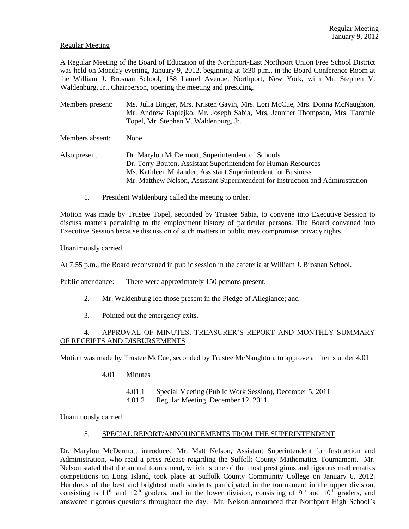## Regular Meeting

A Regular Meeting of the Board of Education of the Northport-East Northport Union Free School District was held on Monday evening, January 9, 2012, beginning at 6:30 p.m., in the Board Conference Room at the William J. Brosnan School, 158 Laurel Avenue, Northport, New York, with Mr. Stephen V. Waldenburg, Jr., Chairperson, opening the meeting and presiding.

- Members present: Ms. Julia Binger, Mrs. Kristen Gavin, Mrs. Lori McCue, Mrs. Donna McNaughton, Mr. Andrew Rapiejko, Mr. Joseph Sabia, Mrs. Jennifer Thompson, Mrs. Tammie Topel, Mr. Stephen V. Waldenburg, Jr.
- Members absent: None
- Also present: Dr. Marylou McDermott, Superintendent of Schools Dr. Terry Bouton, Assistant Superintendent for Human Resources Ms. Kathleen Molander, Assistant Superintendent for Business Mr. Matthew Nelson, Assistant Superintendent for Instruction and Administration
	- 1. President Waldenburg called the meeting to order.

Motion was made by Trustee Topel, seconded by Trustee Sabia, to convene into Executive Session to discuss matters pertaining to the employment history of particular persons. The Board convened into Executive Session because discussion of such matters in public may compromise privacy rights.

Unanimously carried.

At 7:55 p.m., the Board reconvened in public session in the cafeteria at William J. Brosnan School.

Public attendance: There were approximately 150 persons present.

- 2. Mr. Waldenburg led those present in the Pledge of Allegiance; and
- 3. Pointed out the emergency exits.

### 4. APPROVAL OF MINUTES, TREASURER'S REPORT AND MONTHLY SUMMARY OF RECEIPTS AND DISBURSEMENTS

Motion was made by Trustee McCue, seconded by Trustee McNaughton, to approve all items under 4.01

- 4.01 Minutes
	- 4.01.1 Special Meeting (Public Work Session), December 5, 2011
	- 4.01.2 Regular Meeting, December 12, 2011

Unanimously carried.

# 5. SPECIAL REPORT/ANNOUNCEMENTS FROM THE SUPERINTENDENT

Dr. Marylou McDermott introduced Mr. Matt Nelson, Assistant Superintendent for Instruction and Administration, who read a press release regarding the Suffolk County Mathematics Tournament. Mr. Nelson stated that the annual tournament, which is one of the most prestigious and rigorous mathematics competitions on Long Island, took place at Suffolk County Community College on January 6, 2012. Hundreds of the best and brightest math students participated in the tournament in the upper division, consisting is  $11<sup>th</sup>$  and  $12<sup>th</sup>$  graders, and in the lower division, consisting of 9<sup>th</sup> and  $10<sup>th</sup>$  graders, and answered rigorous questions throughout the day. Mr. Nelson announced that Northport High School's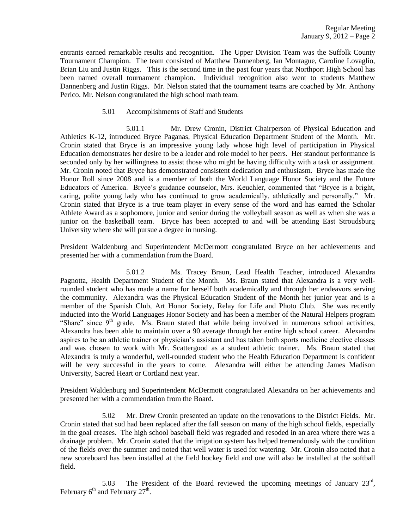entrants earned remarkable results and recognition. The Upper Division Team was the Suffolk County Tournament Champion. The team consisted of Matthew Dannenberg, Ian Montague, Caroline Lovaglio, Brian Liu and Justin Riggs. This is the second time in the past four years that Northport High School has been named overall tournament champion. Individual recognition also went to students Matthew Dannenberg and Justin Riggs. Mr. Nelson stated that the tournament teams are coached by Mr. Anthony Perico. Mr. Nelson congratulated the high school math team.

### 5.01 Accomplishments of Staff and Students

5.01.1 Mr. Drew Cronin, District Chairperson of Physical Education and Athletics K-12, introduced Bryce Paganas, Physical Education Department Student of the Month. Mr. Cronin stated that Bryce is an impressive young lady whose high level of participation in Physical Education demonstrates her desire to be a leader and role model to her peers. Her standout performance is seconded only by her willingness to assist those who might be having difficulty with a task or assignment. Mr. Cronin noted that Bryce has demonstrated consistent dedication and enthusiasm. Bryce has made the Honor Roll since 2008 and is a member of both the World Language Honor Society and the Future Educators of America. Bryce's guidance counselor, Mrs. Keuchler, commented that "Bryce is a bright, caring, polite young lady who has continued to grow academically, athletically and personally." Mr. Cronin stated that Bryce is a true team player in every sense of the word and has earned the Scholar Athlete Award as a sophomore, junior and senior during the volleyball season as well as when she was a junior on the basketball team. Bryce has been accepted to and will be attending East Stroudsburg University where she will pursue a degree in nursing.

President Waldenburg and Superintendent McDermott congratulated Bryce on her achievements and presented her with a commendation from the Board.

5.01.2 Ms. Tracey Braun, Lead Health Teacher, introduced Alexandra Pagnotta, Health Department Student of the Month. Ms. Braun stated that Alexandra is a very wellrounded student who has made a name for herself both academically and through her endeavors serving the community. Alexandra was the Physical Education Student of the Month her junior year and is a member of the Spanish Club, Art Honor Society, Relay for Life and Photo Club. She was recently inducted into the World Languages Honor Society and has been a member of the Natural Helpers program "Share" since  $9<sup>th</sup>$  grade. Ms. Braun stated that while being involved in numerous school activities, Alexandra has been able to maintain over a 90 average through her entire high school career. Alexandra aspires to be an athletic trainer or physician's assistant and has taken both sports medicine elective classes and was chosen to work with Mr. Scattergood as a student athletic trainer. Ms. Braun stated that Alexandra is truly a wonderful, well-rounded student who the Health Education Department is confident will be very successful in the years to come. Alexandra will either be attending James Madison University, Sacred Heart or Cortland next year.

President Waldenburg and Superintendent McDermott congratulated Alexandra on her achievements and presented her with a commendation from the Board.

5.02 Mr. Drew Cronin presented an update on the renovations to the District Fields. Mr. Cronin stated that sod had been replaced after the fall season on many of the high school fields, especially in the goal creases. The high school baseball field was regraded and resoded in an area where there was a drainage problem. Mr. Cronin stated that the irrigation system has helped tremendously with the condition of the fields over the summer and noted that well water is used for watering. Mr. Cronin also noted that a new scoreboard has been installed at the field hockey field and one will also be installed at the softball field.

5.03 The President of the Board reviewed the upcoming meetings of January  $23<sup>rd</sup>$ , February  $6^{th}$  and February  $27^{th}$ .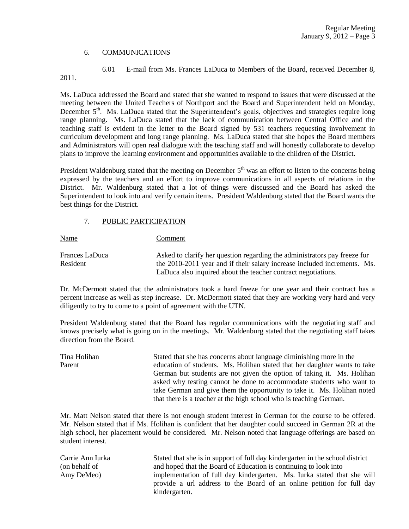### 6. COMMUNICATIONS

6.01 E-mail from Ms. Frances LaDuca to Members of the Board, received December 8,

2011.

Ms. LaDuca addressed the Board and stated that she wanted to respond to issues that were discussed at the meeting between the United Teachers of Northport and the Board and Superintendent held on Monday, December  $5<sup>th</sup>$ . Ms. LaDuca stated that the Superintendent's goals, objectives and strategies require long range planning. Ms. LaDuca stated that the lack of communication between Central Office and the teaching staff is evident in the letter to the Board signed by 531 teachers requesting involvement in curriculum development and long range planning. Ms. LaDuca stated that she hopes the Board members and Administrators will open real dialogue with the teaching staff and will honestly collaborate to develop plans to improve the learning environment and opportunities available to the children of the District.

President Waldenburg stated that the meeting on December  $5<sup>th</sup>$  was an effort to listen to the concerns being expressed by the teachers and an effort to improve communications in all aspects of relations in the District. Mr. Waldenburg stated that a lot of things were discussed and the Board has asked the Superintendent to look into and verify certain items. President Waldenburg stated that the Board wants the best things for the District.

### 7. PUBLIC PARTICIPATION

Name Comment

Frances LaDuca Asked to clarify her question regarding the administrators pay freeze for Resident the 2010-2011 year and if their salary increase included increments. Ms. LaDuca also inquired about the teacher contract negotiations.

Dr. McDermott stated that the administrators took a hard freeze for one year and their contract has a percent increase as well as step increase. Dr. McDermott stated that they are working very hard and very diligently to try to come to a point of agreement with the UTN.

President Waldenburg stated that the Board has regular communications with the negotiating staff and knows precisely what is going on in the meetings. Mr. Waldenburg stated that the negotiating staff takes direction from the Board.

Tina Holihan Stated that she has concerns about language diminishing more in the Parent education of students. Ms. Holihan stated that her daughter wants to take German but students are not given the option of taking it. Ms. Holihan asked why testing cannot be done to accommodate students who want to take German and give them the opportunity to take it. Ms. Holihan noted that there is a teacher at the high school who is teaching German.

Mr. Matt Nelson stated that there is not enough student interest in German for the course to be offered. Mr. Nelson stated that if Ms. Holihan is confident that her daughter could succeed in German 2R at the high school, her placement would be considered. Mr. Nelson noted that language offerings are based on student interest.

Carrie Ann Iurka Stated that she is in support of full day kindergarten in the school district (on behalf of and hoped that the Board of Education is continuing to look into Amy DeMeo) implementation of full day kindergarten. Ms. Iurka stated that she will provide a url address to the Board of an online petition for full day kindergarten.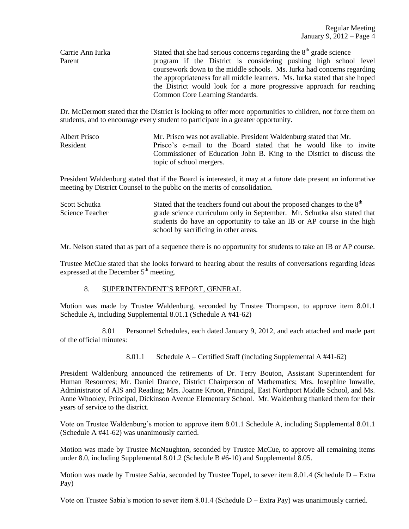Carrie Ann Iurka  $\qquad \qquad$  Stated that she had serious concerns regarding the  $8<sup>th</sup>$  grade science Parent program if the District is considering pushing high school level coursework down to the middle schools. Ms. Iurka had concerns regarding the appropriateness for all middle learners. Ms. Iurka stated that she hoped the District would look for a more progressive approach for reaching Common Core Learning Standards.

Dr. McDermott stated that the District is looking to offer more opportunities to children, not force them on students, and to encourage every student to participate in a greater opportunity.

Albert Prisco Mr. Prisco was not available. President Waldenburg stated that Mr. Resident Prisco's e-mail to the Board stated that he would like to invite Commissioner of Education John B. King to the District to discuss the topic of school mergers.

President Waldenburg stated that if the Board is interested, it may at a future date present an informative meeting by District Counsel to the public on the merits of consolidation.

Scott Schutka Stated that the teachers found out about the proposed changes to the  $8<sup>th</sup>$ Science Teacher grade science curriculum only in September. Mr. Schutka also stated that students do have an opportunity to take an IB or AP course in the high school by sacrificing in other areas.

Mr. Nelson stated that as part of a sequence there is no opportunity for students to take an IB or AP course.

Trustee McCue stated that she looks forward to hearing about the results of conversations regarding ideas expressed at the December  $5<sup>th</sup>$  meeting.

#### 8. SUPERINTENDENT'S REPORT, GENERAL

Motion was made by Trustee Waldenburg, seconded by Trustee Thompson, to approve item 8.01.1 Schedule A, including Supplemental 8.01.1 (Schedule A #41-62)

8.01 Personnel Schedules, each dated January 9, 2012, and each attached and made part of the official minutes:

8.01.1 Schedule A – Certified Staff (including Supplemental A #41-62)

President Waldenburg announced the retirements of Dr. Terry Bouton, Assistant Superintendent for Human Resources; Mr. Daniel Drance, District Chairperson of Mathematics; Mrs. Josephine Imwalle, Administrator of AIS and Reading; Mrs. Joanne Kroon, Principal, East Northport Middle School, and Ms. Anne Whooley, Principal, Dickinson Avenue Elementary School. Mr. Waldenburg thanked them for their years of service to the district.

Vote on Trustee Waldenburg's motion to approve item 8.01.1 Schedule A, including Supplemental 8.01.1 (Schedule A #41-62) was unanimously carried.

Motion was made by Trustee McNaughton, seconded by Trustee McCue, to approve all remaining items under 8.0, including Supplemental 8.01.2 (Schedule B #6-10) and Supplemental 8.05.

Motion was made by Trustee Sabia, seconded by Trustee Topel, to sever item 8.01.4 (Schedule D – Extra Pay)

Vote on Trustee Sabia's motion to sever item  $8.01.4$  (Schedule D – Extra Pay) was unanimously carried.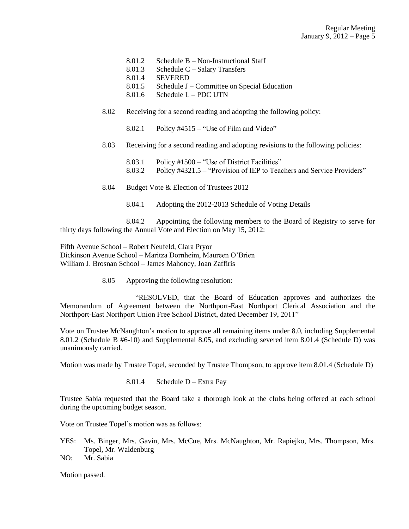- 8.01.2 Schedule B Non-Instructional Staff
- 8.01.3 Schedule C Salary Transfers
- 8.01.4 SEVERED
- 8.01.5 Schedule J Committee on Special Education
- 8.01.6 Schedule L PDC UTN
- 8.02 Receiving for a second reading and adopting the following policy:
	- 8.02.1 Policy #4515 "Use of Film and Video"
- 8.03 Receiving for a second reading and adopting revisions to the following policies:
	- 8.03.1 Policy #1500 "Use of District Facilities"
	- 8.03.2 Policy #4321.5 "Provision of IEP to Teachers and Service Providers"
- 8.04 Budget Vote & Election of Trustees 2012
	- 8.04.1 Adopting the 2012-2013 Schedule of Voting Details

8.04.2 Appointing the following members to the Board of Registry to serve for thirty days following the Annual Vote and Election on May 15, 2012:

Fifth Avenue School – Robert Neufeld, Clara Pryor Dickinson Avenue School – Maritza Dornheim, Maureen O'Brien William J. Brosnan School – James Mahoney, Joan Zaffiris

8.05 Approving the following resolution:

 "RESOLVED, that the Board of Education approves and authorizes the Memorandum of Agreement between the Northport-East Northport Clerical Association and the Northport-East Northport Union Free School District, dated December 19, 2011"

Vote on Trustee McNaughton's motion to approve all remaining items under 8.0, including Supplemental 8.01.2 (Schedule B #6-10) and Supplemental 8.05, and excluding severed item 8.01.4 (Schedule D) was unanimously carried.

Motion was made by Trustee Topel, seconded by Trustee Thompson, to approve item 8.01.4 (Schedule D)

8.01.4 Schedule D – Extra Pay

Trustee Sabia requested that the Board take a thorough look at the clubs being offered at each school during the upcoming budget season.

Vote on Trustee Topel's motion was as follows:

- YES: Ms. Binger, Mrs. Gavin, Mrs. McCue, Mrs. McNaughton, Mr. Rapiejko, Mrs. Thompson, Mrs. Topel, Mr. Waldenburg
- NO: Mr. Sabia

Motion passed.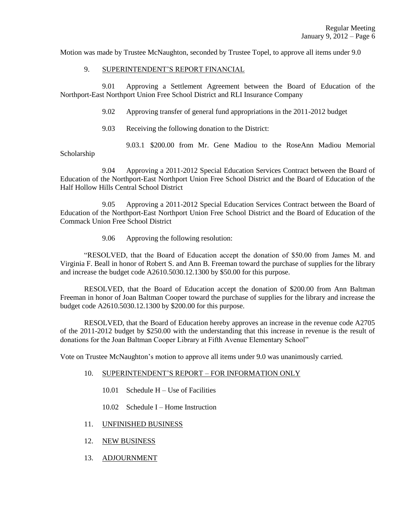Motion was made by Trustee McNaughton, seconded by Trustee Topel, to approve all items under 9.0

#### 9. SUPERINTENDENT'S REPORT FINANCIAL

9.01 Approving a Settlement Agreement between the Board of Education of the Northport-East Northport Union Free School District and RLI Insurance Company

9.02 Approving transfer of general fund appropriations in the 2011-2012 budget

9.03 Receiving the following donation to the District:

9.03.1 \$200.00 from Mr. Gene Madiou to the RoseAnn Madiou Memorial

Scholarship

9.04 Approving a 2011-2012 Special Education Services Contract between the Board of Education of the Northport-East Northport Union Free School District and the Board of Education of the Half Hollow Hills Central School District

9.05 Approving a 2011-2012 Special Education Services Contract between the Board of Education of the Northport-East Northport Union Free School District and the Board of Education of the Commack Union Free School District

9.06 Approving the following resolution:

"RESOLVED, that the Board of Education accept the donation of \$50.00 from James M. and Virginia F. Beall in honor of Robert S. and Ann B. Freeman toward the purchase of supplies for the library and increase the budget code A2610.5030.12.1300 by \$50.00 for this purpose.

RESOLVED, that the Board of Education accept the donation of \$200.00 from Ann Baltman Freeman in honor of Joan Baltman Cooper toward the purchase of supplies for the library and increase the budget code A2610.5030.12.1300 by \$200.00 for this purpose.

RESOLVED, that the Board of Education hereby approves an increase in the revenue code A2705 of the 2011-2012 budget by \$250.00 with the understanding that this increase in revenue is the result of donations for the Joan Baltman Cooper Library at Fifth Avenue Elementary School"

Vote on Trustee McNaughton's motion to approve all items under 9.0 was unanimously carried.

- 10. SUPERINTENDENT'S REPORT FOR INFORMATION ONLY
	- 10.01 Schedule H Use of Facilities
	- 10.02 Schedule I Home Instruction
- 11. UNFINISHED BUSINESS
- 12. NEW BUSINESS
- 13. ADJOURNMENT